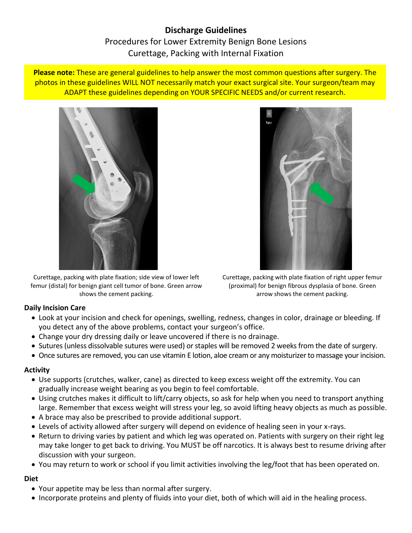# **Discharge Guidelines** Procedures for Lower Extremity Benign Bone Lesions Curettage, Packing with Internal Fixation

**Please note:** These are general guidelines to help answer the most common questions after surgery. The photos in these guidelines WILL NOT necessarily match your exact surgical site. Your surgeon/team may ADAPT these guidelines depending on YOUR SPECIFIC NEEDS and/or current research.



Curettage, packing with plate fixation; side view of lower left femur (distal) for benign giant cell tumor of bone. Green arrow shows the cement packing.



Curettage, packing with plate fixation of right upper femur (proximal) for benign fibrous dysplasia of bone. Green arrow shows the cement packing.

## **Daily Incision Care**

- Look at your incision and check for openings, swelling, redness, changes in color, drainage or bleeding. If you detect any of the above problems, contact your surgeon's office.
- Change your dry dressing daily or leave uncovered if there is no drainage.
- Sutures (unless dissolvable sutures were used) or staples will be removed 2 weeks from the date of surgery.
- Once sutures are removed, you can use vitamin E lotion, aloe cream or any moisturizer to massage your incision.

## **Activity**

- Use supports (crutches, walker, cane) as directed to keep excess weight off the extremity. You can gradually increase weight bearing as you begin to feel comfortable.
- Using crutches makes it difficult to lift/carry objects, so ask for help when you need to transport anything large. Remember that excess weight will stress your leg, so avoid lifting heavy objects as much as possible.
- A brace may also be prescribed to provide additional support.
- Levels of activity allowed after surgery will depend on evidence of healing seen in your x-rays.
- Return to driving varies by patient and which leg was operated on. Patients with surgery on their right leg may take longer to get back to driving. You MUST be off narcotics. It is always best to resume driving after discussion with your surgeon.
- You may return to work or school if you limit activities involving the leg/foot that has been operated on.

## **Diet**

- Your appetite may be less than normal after surgery.
- Incorporate proteins and plenty of fluids into your diet, both of which will aid in the healing process.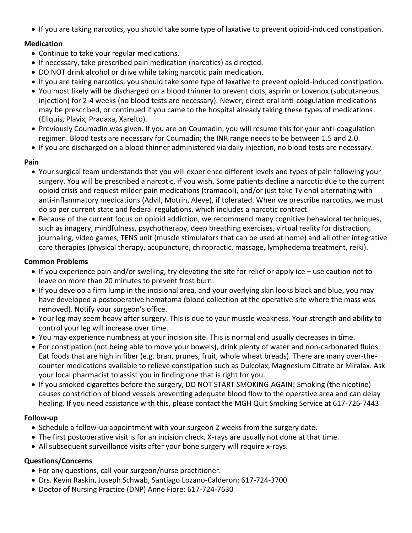If you are taking narcotics, you should take some type of laxative to prevent opioid-induced constipation.

## **Medication**

- Continue to take your regular medications.
- If necessary, take prescribed pain medication (narcotics) as directed.
- DO NOT drink alcohol or drive while taking narcotic pain medication.
- If you are taking narcotics, you should take some type of laxative to prevent opioid-induced constipation.
- You most likely will be discharged on a blood thinner to prevent clots, aspirin or Lovenox (subcutaneous injection) for 2-4 weeks (no blood tests are necessary). Newer, direct oral anti-coagulation medications may be prescribed, or continued if you came to the hospital already taking these types of medications (Eliquis, Plavix, Pradaxa, Xarelto).
- Previously Coumadin was given. If you are on Coumadin, you will resume this for your anti-coagulation regimen. Blood tests are necessary for Coumadin; the INR range needs to be between 1.5 and 2.0.
- If you are discharged on a blood thinner administered via daily injection, no blood tests are necessary.

## **Pain**

- Your surgical team understands that you will experience different levels and types of pain following your surgery. You will be prescribed a narcotic, if you wish. Some patients decline a narcotic due to the current opioid crisis and request milder pain medications (tramadol), and/or just take Tylenol alternating with anti-inflammatory medications (Advil, Motrin, Aleve), if tolerated. When we prescribe narcotics, we must do so per current state and federal regulations, which includes a narcotic contract.
- Because of the current focus on opioid addiction, we recommend many cognitive behavioral techniques, such as imagery, mindfulness, psychotherapy, deep breathing exercises, virtual reality for distraction, journaling, video games, TENS unit (muscle stimulators that can be used at home) and all other integrative care therapies (physical therapy, acupuncture, chiropractic, massage, lymphedema treatment, reiki).

## **Common Problems**

- If you experience pain and/or swelling, try elevating the site for relief or apply ice use caution not to leave on more than 20 minutes to prevent frost burn.
- If you develop a firm lump in the incisional area, and your overlying skin looks black and blue, you may have developed a postoperative hematoma (blood collection at the operative site where the mass was removed). Notify your surgeon's office.
- Your leg may seem heavy after surgery. This is due to your muscle weakness. Your strength and ability to control your leg will increase over time.
- You may experience numbness at your incision site. This is normal and usually decreases in time.
- For constipation (not being able to move your bowels), drink plenty of water and non-carbonated fluids. Eat foods that are high in fiber (e.g. bran, prunes, fruit, whole wheat breads). There are many over-thecounter medications available to relieve constipation such as Dulcolax, Magnesium Citrate or Miralax. Ask your local pharmacist to assist you in finding one that is right for you.
- If you smoked cigarettes before the surgery, DO NOT START SMOKING AGAIN! Smoking (the nicotine) causes constriction of blood vessels preventing adequate blood flow to the operative area and can delay healing. If you need assistance with this, please contact the MGH Quit Smoking Service at 617-726-7443.

## **Follow-up**

- Schedule a follow-up appointment with your surgeon 2 weeks from the surgery date.
- The first postoperative visit is for an incision check. X-rays are usually not done at that time.
- All subsequent surveillance visits after your bone surgery will require x-rays.

## **Questions/Concerns**

- For any questions, call your surgeon/nurse practitioner.
- Drs. Kevin Raskin, Joseph Schwab, Santiago Lozano-Calderon: 617-724-3700
- Doctor of Nursing Practice (DNP) Anne Fiore: 617-724-7630